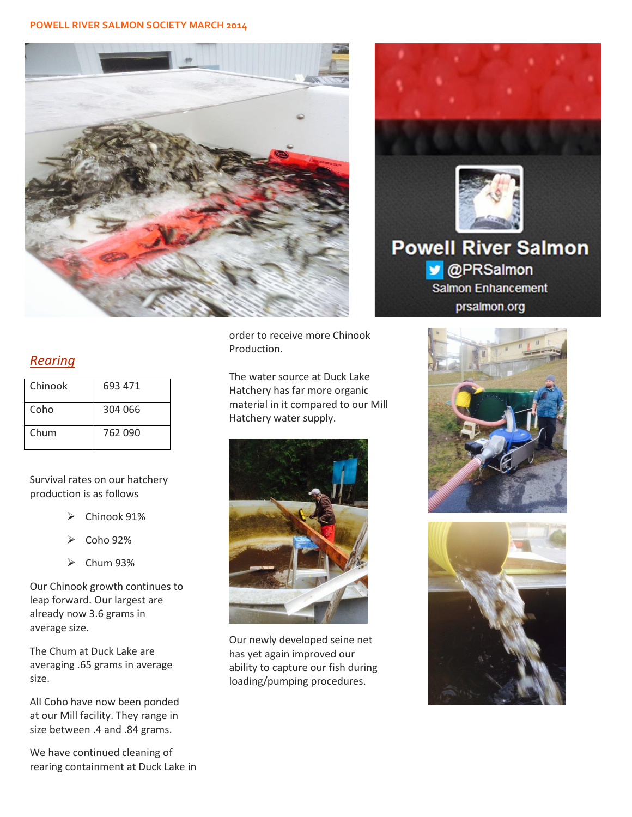

## *Rearing*

| Chinook | 693 471 |
|---------|---------|
| Coho    | 304 066 |
| Chum    | 762 090 |

Survival rates on our hatchery production is as follows

- Chinook 91%
- Coho 92%
- $\triangleright$  Chum 93%

Our Chinook growth continues to leap forward. Our largest are already now 3.6 grams in average size.

The Chum at Duck Lake are averaging .65 grams in average size.

All Coho have now been ponded at our Mill facility. They range in size between .4 and .84 grams.

We have continued cleaning of rearing containment at Duck Lake in order to receive more Chinook Production.

The water source at Duck Lake Hatchery has far more organic material in it compared to our Mill Hatchery water supply.



Our newly developed seine net has yet again improved our ability to capture our fish during loading/pumping procedures.



**v** @PRSalmon **Salmon Enhancement** prsalmon.org